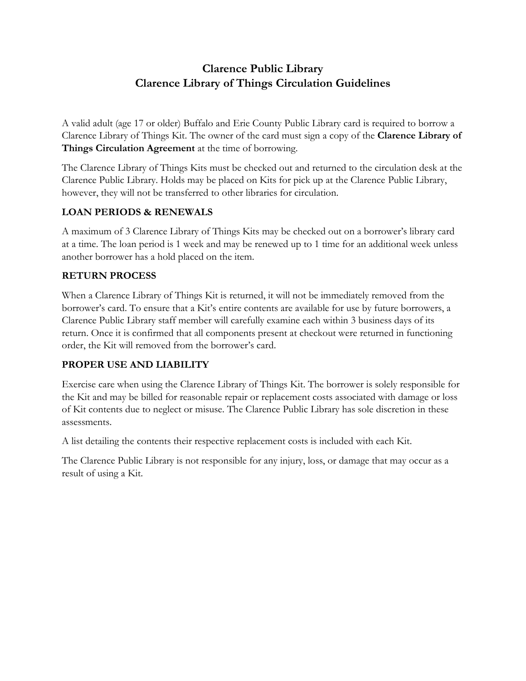# **Clarence Public Library Clarence Library of Things Circulation Guidelines**

A valid adult (age 17 or older) Buffalo and Erie County Public Library card is required to borrow a Clarence Library of Things Kit. The owner of the card must sign a copy of the **Clarence Library of Things Circulation Agreement** at the time of borrowing.

The Clarence Library of Things Kits must be checked out and returned to the circulation desk at the Clarence Public Library. Holds may be placed on Kits for pick up at the Clarence Public Library, however, they will not be transferred to other libraries for circulation.

### **LOAN PERIODS & RENEWALS**

A maximum of 3 Clarence Library of Things Kits may be checked out on a borrower's library card at a time. The loan period is 1 week and may be renewed up to 1 time for an additional week unless another borrower has a hold placed on the item.

## **RETURN PROCESS**

When a Clarence Library of Things Kit is returned, it will not be immediately removed from the borrower's card. To ensure that a Kit's entire contents are available for use by future borrowers, a Clarence Public Library staff member will carefully examine each within 3 business days of its return. Once it is confirmed that all components present at checkout were returned in functioning order, the Kit will removed from the borrower's card.

### **PROPER USE AND LIABILITY**

Exercise care when using the Clarence Library of Things Kit. The borrower is solely responsible for the Kit and may be billed for reasonable repair or replacement costs associated with damage or loss of Kit contents due to neglect or misuse. The Clarence Public Library has sole discretion in these assessments.

A list detailing the contents their respective replacement costs is included with each Kit.

The Clarence Public Library is not responsible for any injury, loss, or damage that may occur as a result of using a Kit.